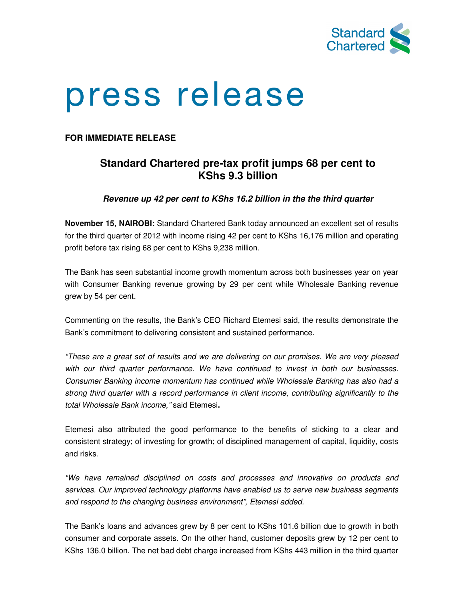

## press release

**FOR IMMEDIATE RELEASE**

## **Standard Chartered pre-tax profit jumps 68 per cent to KShs 9.3 billion**

**Revenue up 42 per cent to KShs 16.2 billion in the the third quarter** 

**November 15, NAIROBI:** Standard Chartered Bank today announced an excellent set of results for the third quarter of 2012 with income rising 42 per cent to KShs 16,176 million and operating profit before tax rising 68 per cent to KShs 9,238 million.

The Bank has seen substantial income growth momentum across both businesses year on year with Consumer Banking revenue growing by 29 per cent while Wholesale Banking revenue grew by 54 per cent.

Commenting on the results, the Bank's CEO Richard Etemesi said, the results demonstrate the Bank's commitment to delivering consistent and sustained performance.

"These are a great set of results and we are delivering on our promises. We are very pleased with our third quarter performance. We have continued to invest in both our businesses. Consumer Banking income momentum has continued while Wholesale Banking has also had a strong third quarter with a record performance in client income, contributing significantly to the total Wholesale Bank income," said Etemesi**.** 

Etemesi also attributed the good performance to the benefits of sticking to a clear and consistent strategy; of investing for growth; of disciplined management of capital, liquidity, costs and risks.

"We have remained disciplined on costs and processes and innovative on products and services. Our improved technology platforms have enabled us to serve new business segments and respond to the changing business environment", Etemesi added.

The Bank's loans and advances grew by 8 per cent to KShs 101.6 billion due to growth in both consumer and corporate assets. On the other hand, customer deposits grew by 12 per cent to KShs 136.0 billion. The net bad debt charge increased from KShs 443 million in the third quarter